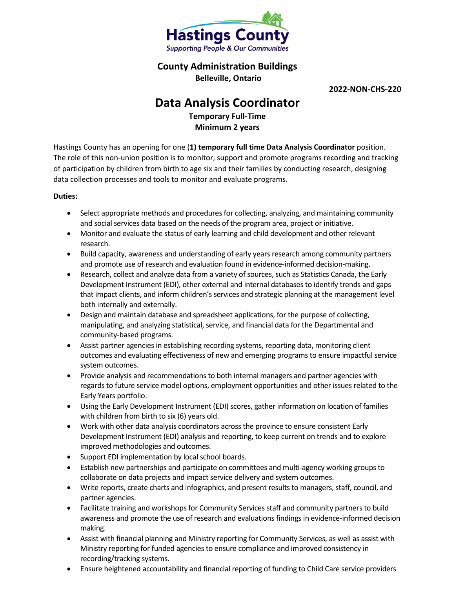

**County Administration Buildings**

**Belleville, Ontario**

**2022-NON-CHS-220**

## **Data Analysis Coordinator**

**Temporary Full-Time Minimum 2 years**

Hastings County has an opening for one (**1) temporary full time Data Analysis Coordinator** position. The role of this non-union position is to monitor, support and promote programs recording and tracking of participation by children from birth to age six and their families by conducting research, designing data collection processes and tools to monitor and evaluate programs.

## **Duties:**

- Select appropriate methods and procedures for collecting, analyzing, and maintaining community and social services data based on the needs of the program area, project or initiative.
- Monitor and evaluate the status of early learning and child development and other relevant research.
- Build capacity, awareness and understanding of early years research among community partners and promote use of research and evaluation found in evidence-informed decision-making.
- Research, collect and analyze data from a variety of sources, such as Statistics Canada, the Early Development Instrument (EDI), other external and internal databases to identify trends and gaps that impact clients, and inform children's services and strategic planning at the management level both internally and externally.
- Design and maintain database and spreadsheet applications, for the purpose of collecting, manipulating, and analyzing statistical, service, and financial data for the Departmental and community-based programs.
- Assist partner agencies in establishing recording systems, reporting data, monitoring client outcomes and evaluating effectiveness of new and emerging programs to ensure impactful service system outcomes.
- Provide analysis and recommendations to both internal managers and partner agencies with regards to future service model options, employment opportunities and other issues related to the Early Years portfolio.
- Using the Early Development Instrument (EDI) scores, gather information on location of families with children from birth to six (6) years old.
- Work with other data analysis coordinators across the province to ensure consistent Early Development Instrument (EDI) analysis and reporting, to keep current on trends and to explore improved methodologies and outcomes.
- Support EDI implementation by local school boards.
- Establish new partnerships and participate on committees and multi-agency working groups to collaborate on data projects and impact service delivery and system outcomes.
- Write reports, create charts and infographics, and present results to managers, staff, council, and partner agencies.
- Facilitate training and workshops for Community Services staff and community partners to build awareness and promote the use of research and evaluations findings in evidence-informed decision making.
- Assist with financial planning and Ministry reporting for Community Services, as well as assist with Ministry reporting for funded agencies to ensure compliance and improved consistency in recording/tracking systems.
- Ensure heightened accountability and financial reporting of funding to Child Care service providers